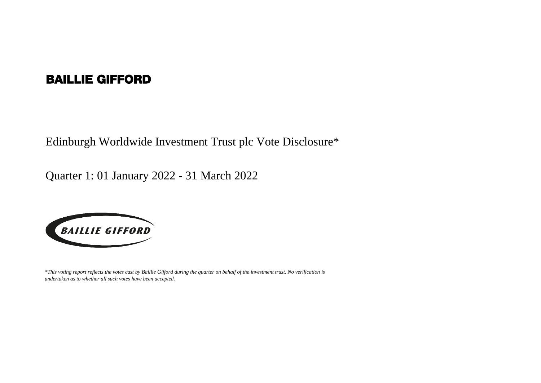## BAILLIE GIFFORD

Edinburgh Worldwide Investment Trust plc Vote Disclosure\*

Quarter 1: 01 January 2022 - 31 March 2022



*\*This voting report reflects the votes cast by Baillie Gifford during the quarter on behalf of the investment trust. No verification is undertaken as to whether all such votes have been accepted.*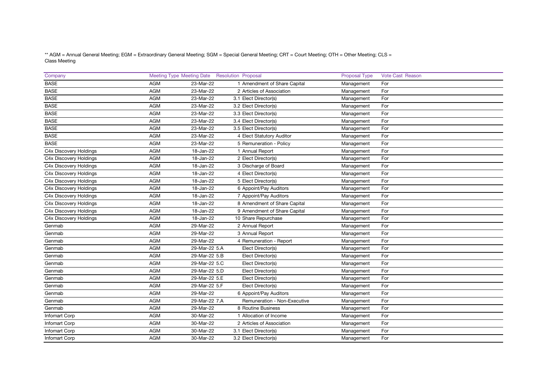\*\* AGM = Annual General Meeting; EGM = Extraordinary General Meeting; SGM = Special General Meeting; CRT = Court Meeting; OTH = Other Meeting; CLS = Class Meeting

| Company                |            | Meeting Type Meeting Date Resolution Proposal |                              | <b>Proposal Type</b> | <b>Vote Cast Reason</b> |
|------------------------|------------|-----------------------------------------------|------------------------------|----------------------|-------------------------|
| <b>BASE</b>            | <b>AGM</b> | 23-Mar-22                                     | 1 Amendment of Share Capital | Management           | For                     |
| <b>BASE</b>            | AGM        | 23-Mar-22                                     | 2 Articles of Association    | Management           | For                     |
| <b>BASE</b>            | <b>AGM</b> | 23-Mar-22                                     | 3.1 Elect Director(s)        | Management           | For                     |
| <b>BASE</b>            | <b>AGM</b> | 23-Mar-22                                     | 3.2 Elect Director(s)        | Management           | For                     |
| <b>BASE</b>            | AGM        | 23-Mar-22                                     | 3.3 Elect Director(s)        | Management           | For                     |
| <b>BASE</b>            | <b>AGM</b> | 23-Mar-22                                     | 3.4 Elect Director(s)        | Management           | For                     |
| <b>BASE</b>            | <b>AGM</b> | 23-Mar-22                                     | 3.5 Elect Director(s)        | Management           | For                     |
| <b>BASE</b>            | <b>AGM</b> | 23-Mar-22                                     | 4 Elect Statutory Auditor    | Management           | For                     |
| <b>BASE</b>            | <b>AGM</b> | 23-Mar-22                                     | 5 Remuneration - Policy      | Management           | For                     |
| C4x Discovery Holdings | AGM        | 18-Jan-22                                     | 1 Annual Report              | Management           | For                     |
| C4x Discovery Holdings | AGM        | 18-Jan-22                                     | 2 Elect Director(s)          | Management           | For                     |
| C4x Discovery Holdings | <b>AGM</b> | 18-Jan-22                                     | 3 Discharge of Board         | Management           | For                     |
| C4x Discovery Holdings | <b>AGM</b> | 18-Jan-22                                     | 4 Elect Director(s)          | Management           | For                     |
| C4x Discovery Holdings | <b>AGM</b> | 18-Jan-22                                     | 5 Elect Director(s)          | Management           | For                     |
| C4x Discovery Holdings | <b>AGM</b> | 18-Jan-22                                     | 6 Appoint/Pay Auditors       | Management           | For                     |
| C4x Discovery Holdings | <b>AGM</b> | 18-Jan-22                                     | 7 Appoint/Pay Auditors       | Management           | For                     |
| C4x Discovery Holdings | AGM        | 18-Jan-22                                     | 8 Amendment of Share Capital | Management           | For                     |
| C4x Discovery Holdings | AGM        | 18-Jan-22                                     | 9 Amendment of Share Capital | Management           | For                     |
| C4x Discovery Holdings | <b>AGM</b> | 18-Jan-22                                     | 10 Share Repurchase          | Management           | For                     |
| Genmab                 | <b>AGM</b> | 29-Mar-22                                     | 2 Annual Report              | Management           | For                     |
| Genmab                 | <b>AGM</b> | 29-Mar-22                                     | 3 Annual Report              | Management           | For                     |
| Genmab                 | <b>AGM</b> | 29-Mar-22                                     | 4 Remuneration - Report      | Management           | For                     |
| Genmab                 | <b>AGM</b> | 29-Mar-22 5.A                                 | Elect Director(s)            | Management           | For                     |
| Genmab                 | <b>AGM</b> | 29-Mar-22 5.B                                 | Elect Director(s)            | Management           | For                     |
| Genmab                 | AGM        | 29-Mar-22 5.C                                 | Elect Director(s)            | Management           | For                     |
| Genmab                 | AGM        | 29-Mar-22 5.D                                 | Elect Director(s)            | Management           | For                     |
| Genmab                 | AGM        | 29-Mar-22 5.E                                 | Elect Director(s)            | Management           | For                     |
| Genmab                 | AGM        | 29-Mar-22 5.F                                 | Elect Director(s)            | Management           | For                     |
| Genmab                 | <b>AGM</b> | 29-Mar-22                                     | 6 Appoint/Pay Auditors       | Management           | For                     |
| Genmab                 | <b>AGM</b> | 29-Mar-22 7.A                                 | Remuneration - Non-Executive | Management           | For                     |
| Genmab                 | AGM        | 29-Mar-22                                     | 8 Routine Business           | Management           | For                     |
| <b>Infomart Corp</b>   | <b>AGM</b> | 30-Mar-22                                     | 1 Allocation of Income       | Management           | For                     |
| <b>Infomart Corp</b>   | <b>AGM</b> | 30-Mar-22                                     | 2 Articles of Association    | Management           | For                     |
| <b>Infomart Corp</b>   | <b>AGM</b> | 30-Mar-22                                     | 3.1 Elect Director(s)        | Management           | For                     |
| Infomart Corp          | AGM        | 30-Mar-22                                     | 3.2 Elect Director(s)        | Management           | For                     |